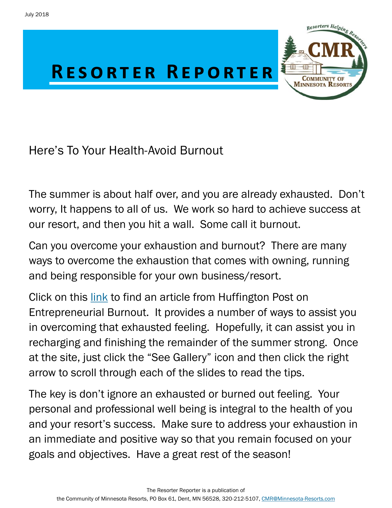

Here's To Your Health-Avoid Burnout

The summer is about half over, and you are already exhausted. Don't worry, It happens to all of us. We work so hard to achieve success at our resort, and then you hit a wall. Some call it burnout.

Can you overcome your exhaustion and burnout? There are many ways to overcome the exhaustion that comes with owning, running and being responsible for your own business/resort.

Click on this [link](https://www.huffingtonpost.com/scott-gerber/entrepreneurial-burnout-1_b_874429.html) to find an article from Huffington Post on Entrepreneurial Burnout. It provides a number of ways to assist you in overcoming that exhausted feeling. Hopefully, it can assist you in recharging and finishing the remainder of the summer strong. Once at the site, just click the "See Gallery" icon and then click the right arrow to scroll through each of the slides to read the tips.

The key is don't ignore an exhausted or burned out feeling. Your personal and professional well being is integral to the health of you and your resort's success. Make sure to address your exhaustion in an immediate and positive way so that you remain focused on your goals and objectives. Have a great rest of the season!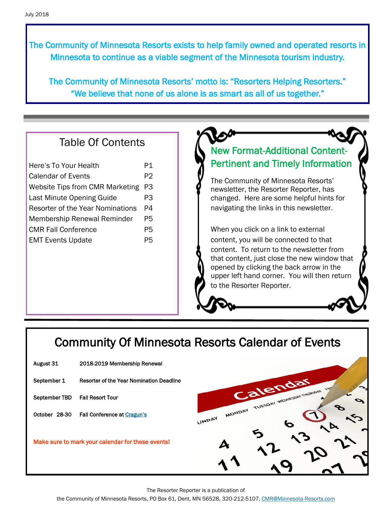The Community of Minnesota Resorts exists to help family owned and operated resorts in Minnesota to continue as a viable segment of the Minnesota tourism industry.

The Community of Minnesota Resorts' motto is: "Resorters Helping Resorters." "We believe that none of us alone is as smart as all of us together."

#### Table Of Contents

| Here's To Your Health                   | P1 |
|-----------------------------------------|----|
| Calendar of Events                      | P2 |
| <b>Website Tips from CMR Marketing</b>  | P3 |
| Last Minute Opening Guide               | P3 |
| <b>Resorter of the Year Nominations</b> | P4 |
| <b>Membership Renewal Reminder</b>      | P5 |
| <b>CMR Fall Conference</b>              | P5 |
| <b>EMT Events Update</b>                | P5 |
|                                         |    |

#### New Format-Additional Content-Pertinent and Timely Information

The Community of Minnesota Resorts' newsletter, the Resorter Reporter, has changed. Here are some helpful hints for navigating the links in this newsletter.

When you click on a link to external content, you will be connected to that content. To return to the newsletter from that content, just close the new window that opened by clicking the back arrow in the upper left hand corner. You will then return to the Resorter Reporter.

## Community Of Minnesota Resorts Calendar of Events

- August 31 2018-2019 Membership Renewal
- September 1 Resorter of the Year Nomination Deadline

September TBD Fall Resort Tour

October 28-30 Fall Conference at [Cragun's](https://www.craguns.com/)

Make sure to mark your calendar for these events!



The Resorter Reporter is a publication of

the Community of Minnesota Resorts, PO Box 61, Dent, MN 56528, 320-212-5107, [CMR@Minnesota-Resorts.com](mailto:CMR@Minnesota-Resorts.com?subject=Community%20of%20Minnesota%20Resorts)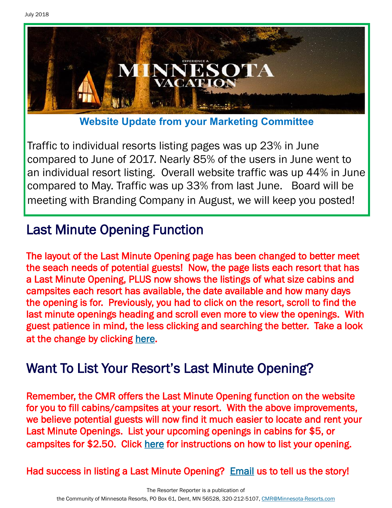

**Website Update from your Marketing Committee**

Traffic to individual resorts listing pages was up 23% in June compared to June of 2017. Nearly 85% of the users in June went to an individual resort listing. Overall website traffic was up 44% in June compared to May. Traffic was up 33% from last June. Board will be meeting with Branding Company in August, we will keep you posted!

# Last Minute Opening Function

The layout of the Last Minute Opening page has been changed to better meet the seach needs of potential guests! Now, the page lists each resort that has a Last Minute Opening, PLUS now shows the listings of what size cabins and campsites each resort has available, the date available and how many days the opening is for. Previously, you had to click on the resort, scroll to find the last minute openings heading and scroll even more to view the openings. With guest patience in mind, the less clicking and searching the better. Take a look at the change by clicking [here.](http://minnesota-resorts.com/last-minute-openings/)

# Want To List Your Resort's Last Minute Opening?

Remember, the CMR offers the Last Minute Opening function on the website for you to fill cabins/campsites at your resort. With the above improvements, we believe potential guests will now find it much easier to locate and rent your Last Minute Openings. List your upcoming openings in cabins for \$5, or campsites for \$2.50. Click [here](http://minnesota-resorts.com/wp-lib/wp-content/uploads/2017/06/Last-Minute-Opening-Guide.pdf) for instructions on how to list your opening.

Had success in listing a Last Minute Opening? [Email u](mailto:cmr%23minnesota-resorts.com?subject=Last%20Minute%20Openings)s to tell us the story!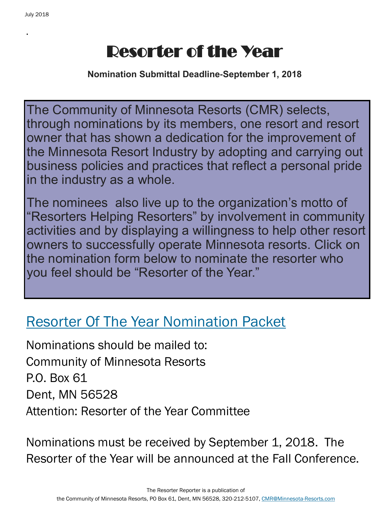.

# Resorter of the Year

**Nomination Submittal Deadline-September 1, 2018**

The Community of Minnesota Resorts (CMR) selects, through nominations by its members, one resort and resort owner that has shown a dedication for the improvement of the Minnesota Resort Industry by adopting and carrying out business policies and practices that reflect a personal pride in the industry as a whole.

The nominees also live up to the organization's motto of "Resorters Helping Resorters" by involvement in community activities and by displaying a willingness to help other resort owners to successfully operate Minnesota resorts. Click on the nomination form below to nominate the resorter who you feel should be "Resorter of the Year."

# [Resorter Of The Year Nomination Packet](http://minnesota-resorts.com/wp-lib/wp-content/uploads/2016/11/2016.04.07_ROY-nominating-packet-Community.pdf)

Nominations should be mailed to: Community of Minnesota Resorts P.O. Box 61 Dent, MN 56528 Attention: Resorter of the Year Committee

Nominations must be received by September 1, 2018. The Resorter of the Year will be announced at the Fall Conference.